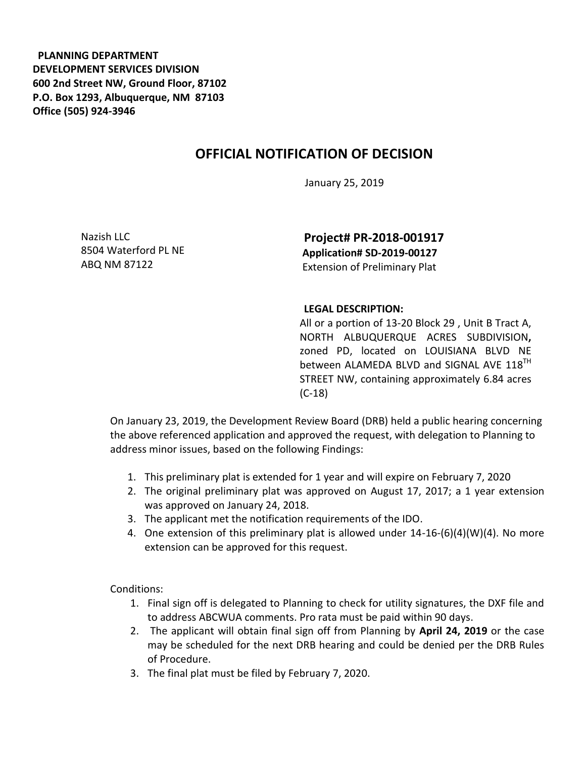**PLANNING DEPARTMENT DEVELOPMENT SERVICES DIVISION 600 2nd Street NW, Ground Floor, 87102 P.O. Box 1293, Albuquerque, NM 87103 Office (505) 924-3946** 

## **OFFICIAL NOTIFICATION OF DECISION**

January 25, 2019

Nazish LLC 8504 Waterford PL NE ABQ NM 87122

**Project# PR-2018-001917 Application# SD-2019-00127**  Extension of Preliminary Plat

## **LEGAL DESCRIPTION:**

All or a portion of 13-20 Block 29 , Unit B Tract A, NORTH ALBUQUERQUE ACRES SUBDIVISION**,**  zoned PD, located on LOUISIANA BLVD NE between ALAMEDA BLVD and SIGNAL AVE 118<sup>TH</sup> STREET NW, containing approximately 6.84 acres (C-18)

On January 23, 2019, the Development Review Board (DRB) held a public hearing concerning the above referenced application and approved the request, with delegation to Planning to address minor issues, based on the following Findings:

- 1. This preliminary plat is extended for 1 year and will expire on February 7, 2020
- 2. The original preliminary plat was approved on August 17, 2017; a 1 year extension was approved on January 24, 2018.
- 3. The applicant met the notification requirements of the IDO.
- 4. One extension of this preliminary plat is allowed under 14-16-(6)(4)(W)(4). No more extension can be approved for this request.

Conditions:

- 1. Final sign off is delegated to Planning to check for utility signatures, the DXF file and to address ABCWUA comments. Pro rata must be paid within 90 days.
- 2. The applicant will obtain final sign off from Planning by **April 24, 2019** or the case may be scheduled for the next DRB hearing and could be denied per the DRB Rules of Procedure.
- 3. The final plat must be filed by February 7, 2020.